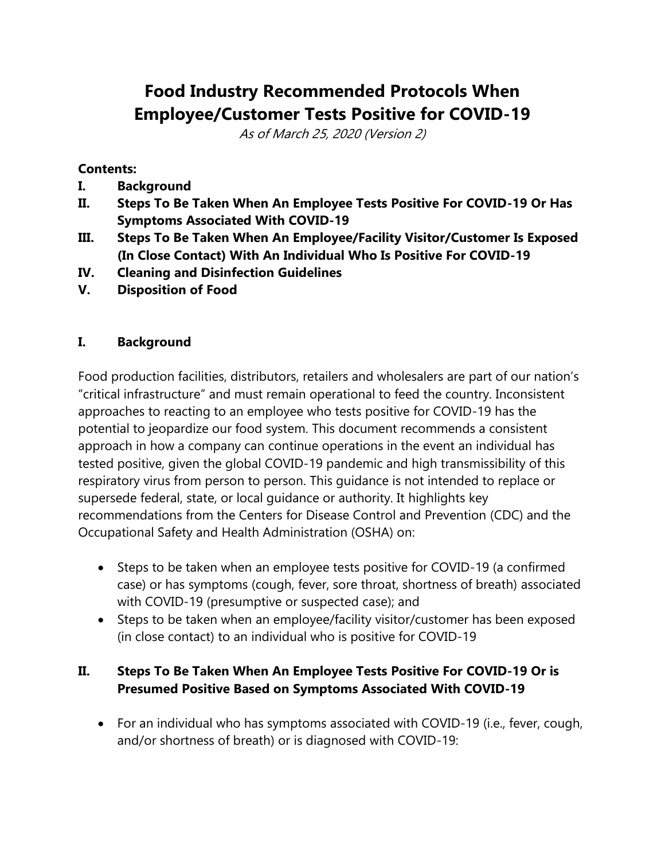# **Food Industry Recommended Protocols When Employee/Customer Tests Positive for COVID-19**

As of March 25, 2020 (Version 2)

#### **Contents:**

- **I. Background**
- **II. Steps To Be Taken When An Employee Tests Positive For COVID-19 Or Has Symptoms Associated With COVID-19**
- **III. Steps To Be Taken When An Employee/Facility Visitor/Customer Is Exposed (In Close Contact) With An Individual Who Is Positive For COVID-19**
- **IV. Cleaning and Disinfection Guidelines**
- **V. Disposition of Food**

#### **I. Background**

Food production facilities, distributors, retailers and wholesalers are part of our nation's "critical infrastructure" and must remain operational to feed the country. Inconsistent approaches to reacting to an employee who tests positive for COVID-19 has the potential to jeopardize our food system. This document recommends a consistent approach in how a company can continue operations in the event an individual has tested positive, given the global COVID-19 pandemic and high transmissibility of this respiratory virus from person to person. This guidance is not intended to replace or supersede federal, state, or local guidance or authority. It highlights key recommendations from the Centers for Disease Control and Prevention (CDC) and the Occupational Safety and Health Administration (OSHA) on:

- Steps to be taken when an employee tests positive for COVID-19 (a confirmed case) or has symptoms (cough, fever, sore throat, shortness of breath) associated with COVID-19 (presumptive or suspected case); and
- Steps to be taken when an employee/facility visitor/customer has been exposed (in close contact) to an individual who is positive for COVID-19

#### **II. Steps To Be Taken When An Employee Tests Positive For COVID-19 Or is Presumed Positive Based on Symptoms Associated With COVID-19**

• For an individual who has symptoms associated with COVID-19 (i.e., fever, cough, and/or shortness of breath) or is diagnosed with COVID-19: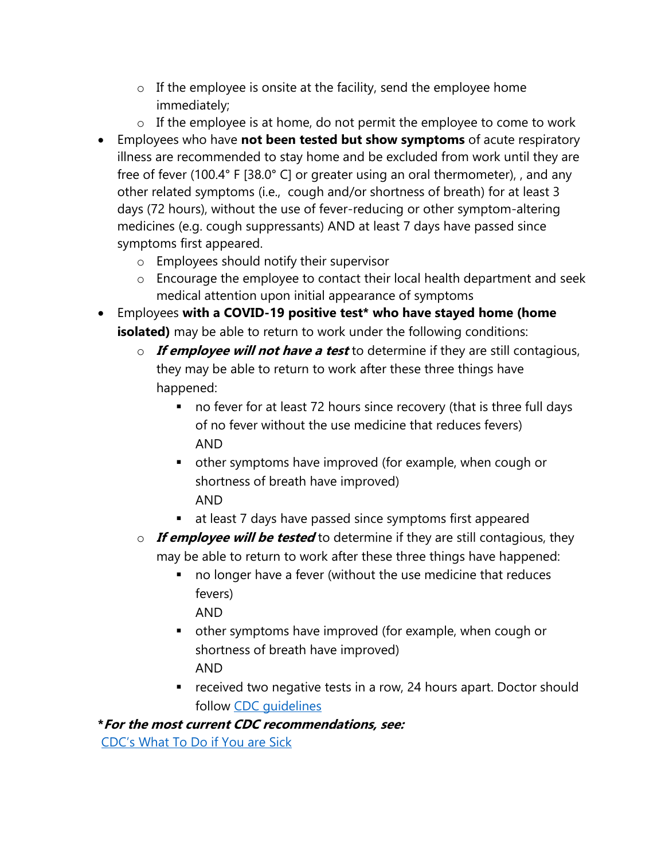- o If the employee is onsite at the facility, send the employee home immediately;
- o If the employee is at home, do not permit the employee to come to work
- Employees who have **not been tested but show symptoms** of acute respiratory illness are recommended to stay home and be excluded from work until they are free of fever (100.4° F [38.0° C] or greater using an oral thermometer), , and any other related symptoms (i.e., cough and/or shortness of breath) for at least 3 days (72 hours), without the use of fever-reducing or other symptom-altering medicines (e.g. cough suppressants) AND at least 7 days have passed since symptoms first appeared.
	- o Employees should notify their supervisor
	- o Encourage the employee to contact their local health department and seek medical attention upon initial appearance of symptoms
- Employees **with a COVID-19 positive test\* who have stayed home (home isolated)** may be able to return to work under the following conditions:
	- o **If employee will not have a test** to determine if they are still contagious, they may be able to return to work after these three things have happened:
		- no fever for at least 72 hours since recovery (that is three full days of no fever without the use medicine that reduces fevers) AND
		- other symptoms have improved (for example, when cough or shortness of breath have improved) AND
		- at least 7 days have passed since symptoms first appeared
	- o **If employee will be tested** to determine if they are still contagious, they may be able to return to work after these three things have happened:
		- no longer have a fever (without the use medicine that reduces fevers)

AND

- other symptoms have improved (for example, when cough or shortness of breath have improved) AND
- received two negative tests in a row, 24 hours apart. Doctor should follow [CDC guidelines](https://www.cdc.gov/coronavirus/2019-ncov/hcp/disposition-in-home-patients.html)

**\*For the most current CDC recommendations, see:**

[CDC's What To Do if You are Sick](https://www.cdc.gov/coronavirus/2019-ncov/if-you-are-sick/steps-when-sick.html)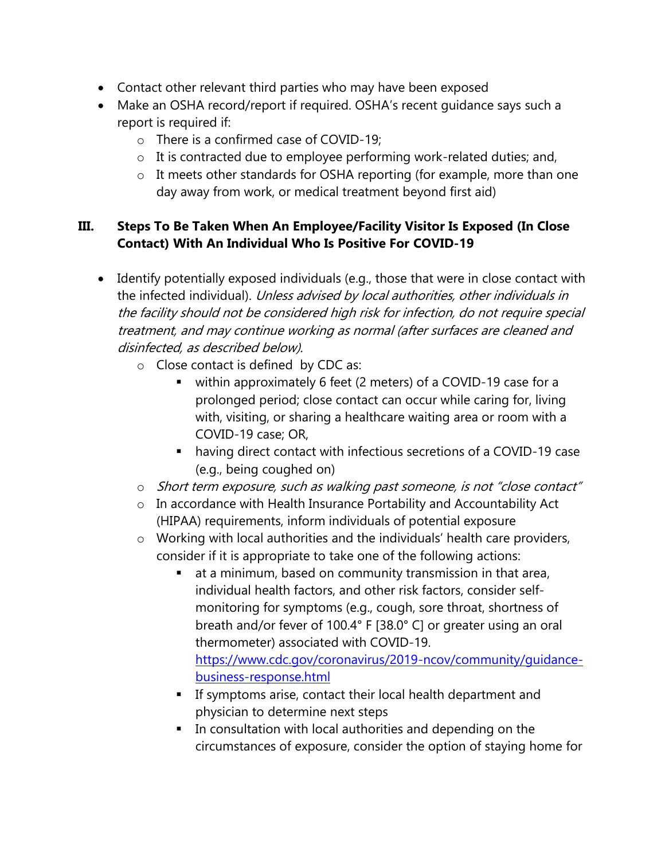- Contact other relevant third parties who may have been exposed
- Make an OSHA record/report if required. OSHA's recent quidance says such a report is required if:
	- o There is a confirmed case of COVID-19;
	- o It is contracted due to employee performing work-related duties; and,
	- o It meets other standards for OSHA reporting (for example, more than one day away from work, or medical treatment beyond first aid)

#### **III. Steps To Be Taken When An Employee/Facility Visitor Is Exposed (In Close Contact) With An Individual Who Is Positive For COVID-19**

- Identify potentially exposed individuals (e.g., those that were in close contact with the infected individual). Unless advised by local authorities, other individuals in the facility should not be considered high risk for infection, do not require special treatment, and may continue working as normal (after surfaces are cleaned and disinfected, as described below).
	- o Close contact is defined by CDC as:
		- within approximately 6 feet (2 meters) of a COVID-19 case for a prolonged period; close contact can occur while caring for, living with, visiting, or sharing a healthcare waiting area or room with a COVID-19 case; OR,
		- having direct contact with infectious secretions of a COVID-19 case (e.g., being coughed on)
	- o Short term exposure, such as walking past someone, is not "close contact"
	- o In accordance with Health Insurance Portability and Accountability Act (HIPAA) requirements, inform individuals of potential exposure
	- o Working with local authorities and the individuals' health care providers, consider if it is appropriate to take one of the following actions:
		- at a minimum, based on community transmission in that area, individual health factors, and other risk factors, consider selfmonitoring for symptoms (e.g., cough, sore throat, shortness of breath and/or fever of 100.4° F [38.0° C] or greater using an oral thermometer) associated with COVID-19. [https://www.cdc.gov/coronavirus/2019-ncov/community/guidance](https://www.cdc.gov/coronavirus/2019-ncov/community/guidance-business-response.html)[business-response.html](https://www.cdc.gov/coronavirus/2019-ncov/community/guidance-business-response.html)
		- **EXTE:** If symptoms arise, contact their local health department and physician to determine next steps
		- In consultation with local authorities and depending on the circumstances of exposure, consider the option of staying home for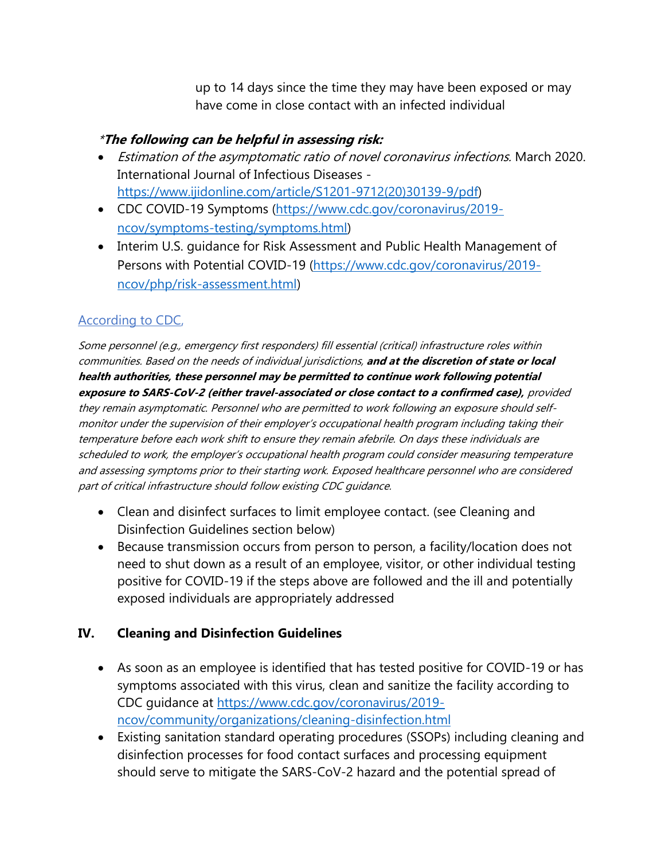up to 14 days since the time they may have been exposed or may have come in close contact with an infected individual

#### \***The following can be helpful in assessing risk:**

- Estimation of the asymptomatic ratio of novel coronavirus infections. March 2020. International Journal of Infectious Diseases [https://www.ijidonline.com/article/S1201-9712\(20\)30139-9/pdf\)](https://www.ijidonline.com/article/S1201-9712(20)30139-9/pdf)
- CDC COVID-19 Symptoms [\(https://www.cdc.gov/coronavirus/2019](https://www.cdc.gov/coronavirus/2019-ncov/symptoms-testing/symptoms.html) [ncov/symptoms-testing/symptoms.html\)](https://www.cdc.gov/coronavirus/2019-ncov/symptoms-testing/symptoms.html)
- Interim U.S. guidance for Risk Assessment and Public Health Management of Persons with Potential COVID-19 [\(https://www.cdc.gov/coronavirus/2019](https://www.cdc.gov/coronavirus/2019-ncov/php/risk-assessment.html) [ncov/php/risk-assessment.html\)](https://www.cdc.gov/coronavirus/2019-ncov/php/risk-assessment.html)

## [According to CDC,](https://www.cdc.gov/coronavirus/2019-ncov/php/risk-assessment.html)

Some personnel (e.g., emergency first responders) fill essential (critical) infrastructure roles within communities. Based on the needs of individual jurisdictions, **and at the discretion of state or local health authorities, these personnel may be permitted to continue work following potential exposure to SARS-CoV-2 (either travel-associated or close contact to a confirmed case),** provided they remain asymptomatic. Personnel who are permitted to work following an exposure should selfmonitor under the supervision of their employer's occupational health program including taking their temperature before each work shift to ensure they remain afebrile. On days these individuals are scheduled to work, the employer's occupational health program could consider measuring temperature and assessing symptoms prior to their starting work. Exposed healthcare personnel who are considered part of critical infrastructure should follow existing CDC guidance.

- Clean and disinfect surfaces to limit employee contact. (see Cleaning and Disinfection Guidelines section below)
- Because transmission occurs from person to person, a facility/location does not need to shut down as a result of an employee, visitor, or other individual testing positive for COVID-19 if the steps above are followed and the ill and potentially exposed individuals are appropriately addressed

## **IV. Cleaning and Disinfection Guidelines**

- As soon as an employee is identified that has tested positive for COVID-19 or has symptoms associated with this virus, clean and sanitize the facility according to CDC guidance at [https://www.cdc.gov/coronavirus/2019](https://www.cdc.gov/coronavirus/2019-ncov/community/organizations/cleaning-disinfection.html) [ncov/community/organizations/cleaning-disinfection.html](https://www.cdc.gov/coronavirus/2019-ncov/community/organizations/cleaning-disinfection.html)
- Existing sanitation standard operating procedures (SSOPs) including cleaning and disinfection processes for food contact surfaces and processing equipment should serve to mitigate the SARS-CoV-2 hazard and the potential spread of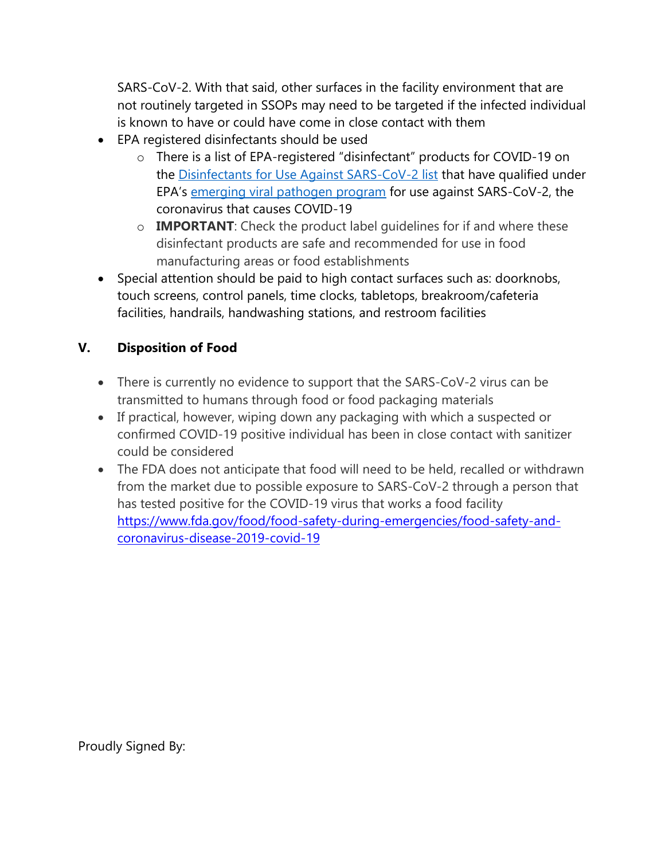SARS-CoV-2. With that said, other surfaces in the facility environment that are not routinely targeted in SSOPs may need to be targeted if the infected individual is known to have or could have come in close contact with them

- EPA registered disinfectants should be used
	- o There is a list of EPA-registered "disinfectant" products for COVID-19 on the [Disinfectants for Use Against SARS-CoV-2 list](https://www.epa.gov/sites/production/files/2020-03/documents/sars-cov-2-list_03-03-2020.pdf) that have qualified under EPA's [emerging viral pathogen program](https://www.epa.gov/pesticide-registration/guidance-registrants-process-making-claims-against-emerging-viral-pathogens) for use against SARS-CoV-2, the coronavirus that causes COVID-19
	- o **IMPORTANT**: Check the product label guidelines for if and where these disinfectant products are safe and recommended for use in food manufacturing areas or food establishments
- Special attention should be paid to high contact surfaces such as: doorknobs, touch screens, control panels, time clocks, tabletops, breakroom/cafeteria facilities, handrails, handwashing stations, and restroom facilities

## **V. Disposition of Food**

- There is currently no evidence to support that the SARS-CoV-2 virus can be transmitted to humans through food or food packaging materials
- If practical, however, wiping down any packaging with which a suspected or confirmed COVID-19 positive individual has been in close contact with sanitizer could be considered
- The FDA does not anticipate that food will need to be held, recalled or withdrawn from the market due to possible exposure to SARS-CoV-2 through a person that has tested positive for the COVID-19 virus that works a food facility [https://www.fda.gov/food/food-safety-during-emergencies/food-safety-and](https://www.fda.gov/food/food-safety-during-emergencies/food-safety-and-coronavirus-disease-2019-covid-19)[coronavirus-disease-2019-covid-19](https://www.fda.gov/food/food-safety-during-emergencies/food-safety-and-coronavirus-disease-2019-covid-19)

Proudly Signed By: